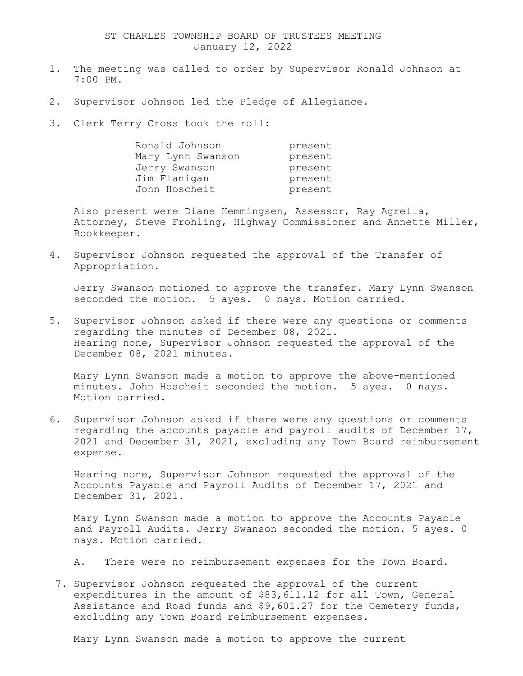## ST CHARLES TOWNSHIP BOARD OF TRUSTEES MEETING January 12, 2022

- 1. The meeting was called to order by Supervisor Ronald Johnson at 7:00 PM.
- 2. Supervisor Johnson led the Pledge of Allegiance.
- 3. Clerk Terry Cross took the roll:

| Ronald Johnson    | present |
|-------------------|---------|
| Mary Lynn Swanson | present |
| Jerry Swanson     | present |
| Jim Flanigan      | present |
| John Hoscheit     | present |

Also present were Diane Hemmingsen, Assessor, Ray Agrella, Attorney, Steve Frohling, Highway Commissioner and Annette Miller, Bookkeeper.

4. Supervisor Johnson requested the approval of the Transfer of Appropriation.

Jerry Swanson motioned to approve the transfer. Mary Lynn Swanson seconded the motion. 5 ayes. 0 nays. Motion carried.

5. Supervisor Johnson asked if there were any questions or comments regarding the minutes of December 08, 2021. Hearing none, Supervisor Johnson requested the approval of the December 08, 2021 minutes.

Mary Lynn Swanson made a motion to approve the above-mentioned minutes. John Hoscheit seconded the motion. 5 ayes. 0 nays. Motion carried.

6. Supervisor Johnson asked if there were any questions or comments regarding the accounts payable and payroll audits of December 17, 2021 and December 31, 2021, excluding any Town Board reimbursement expense.

Hearing none, Supervisor Johnson requested the approval of the Accounts Payable and Payroll Audits of December 17, 2021 and December 31, 2021.

Mary Lynn Swanson made a motion to approve the Accounts Payable and Payroll Audits. Jerry Swanson seconded the motion. 5 ayes. 0 nays. Motion carried.

- A. There were no reimbursement expenses for the Town Board.
- 7. Supervisor Johnson requested the approval of the current expenditures in the amount of \$83,611.12 for all Town, General Assistance and Road funds and \$9,601.27 for the Cemetery funds, excluding any Town Board reimbursement expenses.

Mary Lynn Swanson made a motion to approve the current